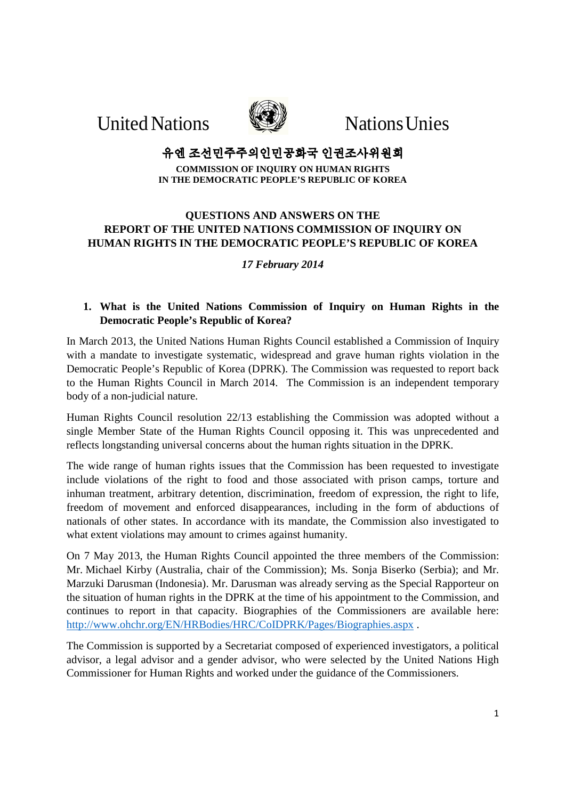United Nations WEW Nations Unies



# 유엔 조선민주주의인민공화국 인권조사위원회

**COMMISSION OF INQUIRY ON HUMAN RIGHTS IN THE DEMOCRATIC PEOPLE'S REPUBLIC OF KOREA** 

# **QUESTIONS AND ANSWERS ON THE REPORT OF THE UNITED NATIONS COMMISSION OF INQUIRY ON HUMAN RIGHTS IN THE DEMOCRATIC PEOPLE'S REPUBLIC OF KOREA**

# *17 February 2014*

# **1. What is the United Nations Commission of Inquiry on Human Rights in the Democratic People's Republic of Korea?**

In March 2013, the United Nations Human Rights Council established a Commission of Inquiry with a mandate to investigate systematic, widespread and grave human rights violation in the Democratic People's Republic of Korea (DPRK). The Commission was requested to report back to the Human Rights Council in March 2014. The Commission is an independent temporary body of a non-judicial nature.

Human Rights Council resolution 22/13 establishing the Commission was adopted without a single Member State of the Human Rights Council opposing it. This was unprecedented and reflects longstanding universal concerns about the human rights situation in the DPRK.

The wide range of human rights issues that the Commission has been requested to investigate include violations of the right to food and those associated with prison camps, torture and inhuman treatment, arbitrary detention, discrimination, freedom of expression, the right to life, freedom of movement and enforced disappearances, including in the form of abductions of nationals of other states. In accordance with its mandate, the Commission also investigated to what extent violations may amount to crimes against humanity.

On 7 May 2013, the Human Rights Council appointed the three members of the Commission: Mr. Michael Kirby (Australia, chair of the Commission); Ms. Sonja Biserko (Serbia); and Mr. Marzuki Darusman (Indonesia). Mr. Darusman was already serving as the Special Rapporteur on the situation of human rights in the DPRK at the time of his appointment to the Commission, and continues to report in that capacity. Biographies of the Commissioners are available here: http://www.ohchr.org/EN/HRBodies/HRC/CoIDPRK/Pages/Biographies.aspx .

The Commission is supported by a Secretariat composed of experienced investigators, a political advisor, a legal advisor and a gender advisor, who were selected by the United Nations High Commissioner for Human Rights and worked under the guidance of the Commissioners.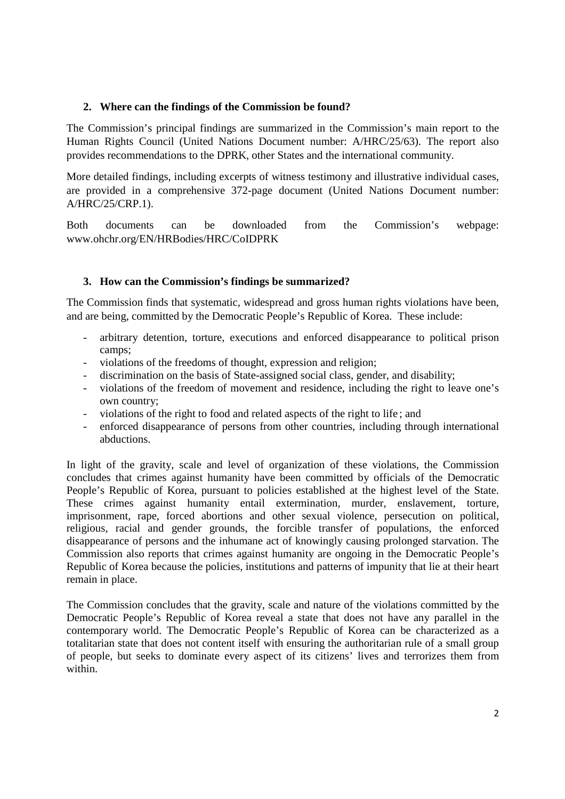## **2. Where can the findings of the Commission be found?**

The Commission's principal findings are summarized in the Commission's main report to the Human Rights Council (United Nations Document number: A/HRC/25/63). The report also provides recommendations to the DPRK, other States and the international community.

More detailed findings, including excerpts of witness testimony and illustrative individual cases, are provided in a comprehensive 372-page document (United Nations Document number: A/HRC/25/CRP.1).

Both documents can be downloaded from the Commission's webpage: www.ohchr.org/EN/HRBodies/HRC/CoIDPRK

#### **3. How can the Commission's findings be summarized?**

The Commission finds that systematic, widespread and gross human rights violations have been, and are being, committed by the Democratic People's Republic of Korea. These include:

- arbitrary detention, torture, executions and enforced disappearance to political prison camps;
- violations of the freedoms of thought, expression and religion;
- discrimination on the basis of State-assigned social class, gender, and disability;
- violations of the freedom of movement and residence, including the right to leave one's own country;
- violations of the right to food and related aspects of the right to life ; and
- enforced disappearance of persons from other countries, including through international abductions.

In light of the gravity, scale and level of organization of these violations, the Commission concludes that crimes against humanity have been committed by officials of the Democratic People's Republic of Korea, pursuant to policies established at the highest level of the State. These crimes against humanity entail extermination, murder, enslavement, torture, imprisonment, rape, forced abortions and other sexual violence, persecution on political, religious, racial and gender grounds, the forcible transfer of populations, the enforced disappearance of persons and the inhumane act of knowingly causing prolonged starvation. The Commission also reports that crimes against humanity are ongoing in the Democratic People's Republic of Korea because the policies, institutions and patterns of impunity that lie at their heart remain in place.

The Commission concludes that the gravity, scale and nature of the violations committed by the Democratic People's Republic of Korea reveal a state that does not have any parallel in the contemporary world. The Democratic People's Republic of Korea can be characterized as a totalitarian state that does not content itself with ensuring the authoritarian rule of a small group of people, but seeks to dominate every aspect of its citizens' lives and terrorizes them from within.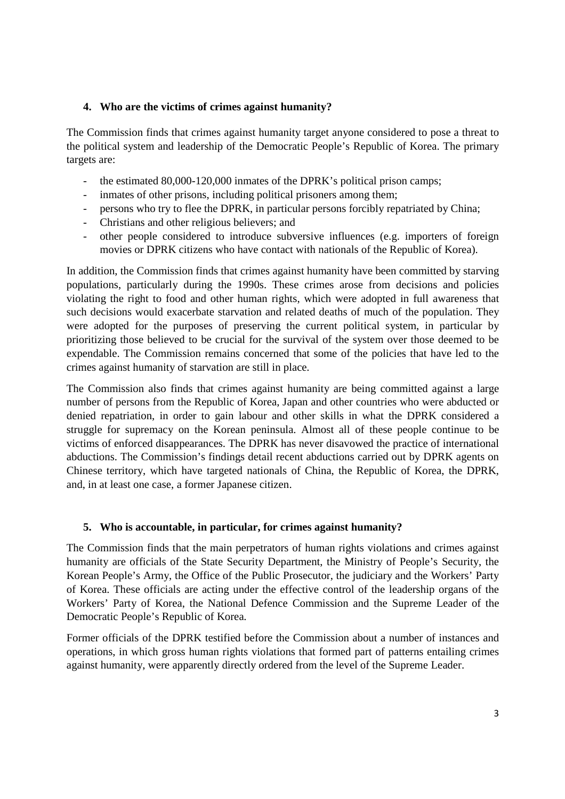## **4. Who are the victims of crimes against humanity?**

The Commission finds that crimes against humanity target anyone considered to pose a threat to the political system and leadership of the Democratic People's Republic of Korea. The primary targets are:

- the estimated 80,000-120,000 inmates of the DPRK's political prison camps;
- inmates of other prisons, including political prisoners among them;
- persons who try to flee the DPRK, in particular persons forcibly repatriated by China;
- Christians and other religious believers; and
- other people considered to introduce subversive influences (e.g. importers of foreign movies or DPRK citizens who have contact with nationals of the Republic of Korea).

In addition, the Commission finds that crimes against humanity have been committed by starving populations, particularly during the 1990s. These crimes arose from decisions and policies violating the right to food and other human rights, which were adopted in full awareness that such decisions would exacerbate starvation and related deaths of much of the population. They were adopted for the purposes of preserving the current political system, in particular by prioritizing those believed to be crucial for the survival of the system over those deemed to be expendable. The Commission remains concerned that some of the policies that have led to the crimes against humanity of starvation are still in place.

The Commission also finds that crimes against humanity are being committed against a large number of persons from the Republic of Korea, Japan and other countries who were abducted or denied repatriation, in order to gain labour and other skills in what the DPRK considered a struggle for supremacy on the Korean peninsula. Almost all of these people continue to be victims of enforced disappearances. The DPRK has never disavowed the practice of international abductions. The Commission's findings detail recent abductions carried out by DPRK agents on Chinese territory, which have targeted nationals of China, the Republic of Korea, the DPRK, and, in at least one case, a former Japanese citizen.

#### **5. Who is accountable, in particular, for crimes against humanity?**

The Commission finds that the main perpetrators of human rights violations and crimes against humanity are officials of the State Security Department, the Ministry of People's Security, the Korean People's Army, the Office of the Public Prosecutor, the judiciary and the Workers' Party of Korea. These officials are acting under the effective control of the leadership organs of the Workers' Party of Korea, the National Defence Commission and the Supreme Leader of the Democratic People's Republic of Korea.

Former officials of the DPRK testified before the Commission about a number of instances and operations, in which gross human rights violations that formed part of patterns entailing crimes against humanity, were apparently directly ordered from the level of the Supreme Leader.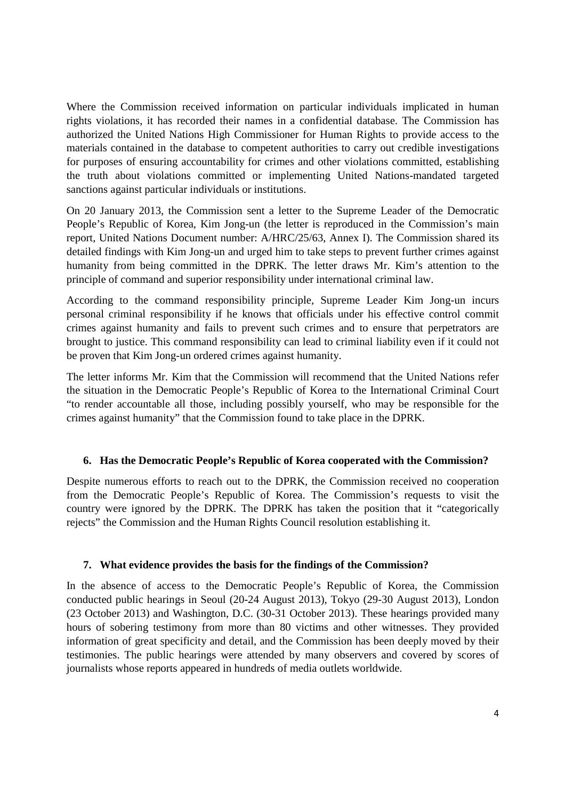Where the Commission received information on particular individuals implicated in human rights violations, it has recorded their names in a confidential database. The Commission has authorized the United Nations High Commissioner for Human Rights to provide access to the materials contained in the database to competent authorities to carry out credible investigations for purposes of ensuring accountability for crimes and other violations committed, establishing the truth about violations committed or implementing United Nations-mandated targeted sanctions against particular individuals or institutions.

On 20 January 2013, the Commission sent a letter to the Supreme Leader of the Democratic People's Republic of Korea, Kim Jong-un (the letter is reproduced in the Commission's main report, United Nations Document number: A/HRC/25/63, Annex I). The Commission shared its detailed findings with Kim Jong-un and urged him to take steps to prevent further crimes against humanity from being committed in the DPRK. The letter draws Mr. Kim's attention to the principle of command and superior responsibility under international criminal law.

According to the command responsibility principle, Supreme Leader Kim Jong-un incurs personal criminal responsibility if he knows that officials under his effective control commit crimes against humanity and fails to prevent such crimes and to ensure that perpetrators are brought to justice. This command responsibility can lead to criminal liability even if it could not be proven that Kim Jong-un ordered crimes against humanity.

The letter informs Mr. Kim that the Commission will recommend that the United Nations refer the situation in the Democratic People's Republic of Korea to the International Criminal Court "to render accountable all those, including possibly yourself, who may be responsible for the crimes against humanity" that the Commission found to take place in the DPRK.

#### **6. Has the Democratic People's Republic of Korea cooperated with the Commission?**

Despite numerous efforts to reach out to the DPRK, the Commission received no cooperation from the Democratic People's Republic of Korea. The Commission's requests to visit the country were ignored by the DPRK. The DPRK has taken the position that it "categorically rejects" the Commission and the Human Rights Council resolution establishing it.

#### **7. What evidence provides the basis for the findings of the Commission?**

In the absence of access to the Democratic People's Republic of Korea, the Commission conducted public hearings in Seoul (20-24 August 2013), Tokyo (29-30 August 2013), London (23 October 2013) and Washington, D.C. (30-31 October 2013). These hearings provided many hours of sobering testimony from more than 80 victims and other witnesses. They provided information of great specificity and detail, and the Commission has been deeply moved by their testimonies. The public hearings were attended by many observers and covered by scores of journalists whose reports appeared in hundreds of media outlets worldwide.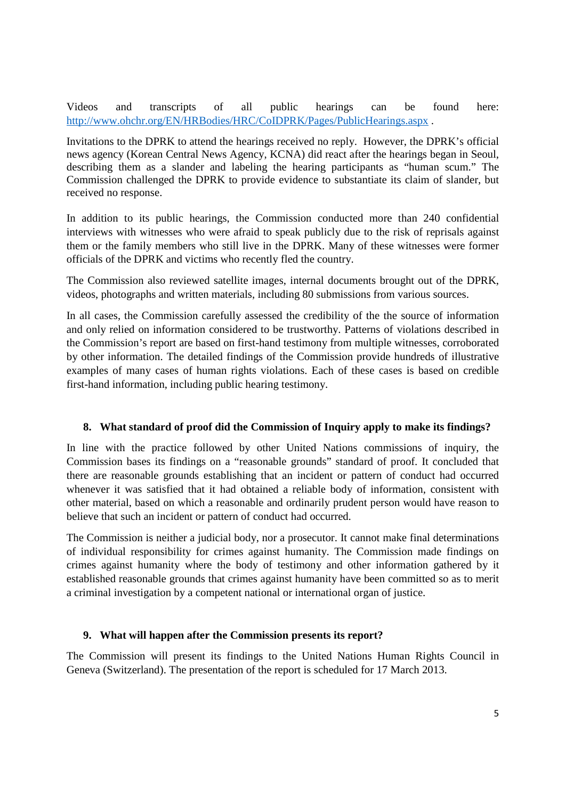Videos and transcripts of all public hearings can be found here: http://www.ohchr.org/EN/HRBodies/HRC/CoIDPRK/Pages/PublicHearings.aspx .

Invitations to the DPRK to attend the hearings received no reply. However, the DPRK's official news agency (Korean Central News Agency, KCNA) did react after the hearings began in Seoul, describing them as a slander and labeling the hearing participants as "human scum." The Commission challenged the DPRK to provide evidence to substantiate its claim of slander, but received no response.

In addition to its public hearings, the Commission conducted more than 240 confidential interviews with witnesses who were afraid to speak publicly due to the risk of reprisals against them or the family members who still live in the DPRK. Many of these witnesses were former officials of the DPRK and victims who recently fled the country.

The Commission also reviewed satellite images, internal documents brought out of the DPRK, videos, photographs and written materials, including 80 submissions from various sources.

In all cases, the Commission carefully assessed the credibility of the the source of information and only relied on information considered to be trustworthy. Patterns of violations described in the Commission's report are based on first-hand testimony from multiple witnesses, corroborated by other information. The detailed findings of the Commission provide hundreds of illustrative examples of many cases of human rights violations. Each of these cases is based on credible first-hand information, including public hearing testimony.

## **8. What standard of proof did the Commission of Inquiry apply to make its findings?**

In line with the practice followed by other United Nations commissions of inquiry, the Commission bases its findings on a "reasonable grounds" standard of proof. It concluded that there are reasonable grounds establishing that an incident or pattern of conduct had occurred whenever it was satisfied that it had obtained a reliable body of information, consistent with other material, based on which a reasonable and ordinarily prudent person would have reason to believe that such an incident or pattern of conduct had occurred.

The Commission is neither a judicial body, nor a prosecutor. It cannot make final determinations of individual responsibility for crimes against humanity. The Commission made findings on crimes against humanity where the body of testimony and other information gathered by it established reasonable grounds that crimes against humanity have been committed so as to merit a criminal investigation by a competent national or international organ of justice.

#### **9. What will happen after the Commission presents its report?**

The Commission will present its findings to the United Nations Human Rights Council in Geneva (Switzerland). The presentation of the report is scheduled for 17 March 2013.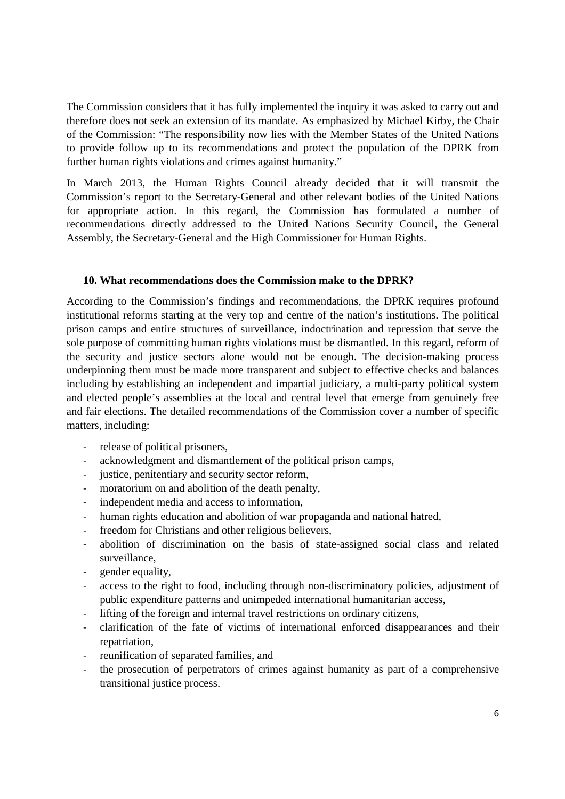The Commission considers that it has fully implemented the inquiry it was asked to carry out and therefore does not seek an extension of its mandate. As emphasized by Michael Kirby, the Chair of the Commission: "The responsibility now lies with the Member States of the United Nations to provide follow up to its recommendations and protect the population of the DPRK from further human rights violations and crimes against humanity."

In March 2013, the Human Rights Council already decided that it will transmit the Commission's report to the Secretary-General and other relevant bodies of the United Nations for appropriate action. In this regard, the Commission has formulated a number of recommendations directly addressed to the United Nations Security Council, the General Assembly, the Secretary-General and the High Commissioner for Human Rights.

#### **10. What recommendations does the Commission make to the DPRK?**

According to the Commission's findings and recommendations, the DPRK requires profound institutional reforms starting at the very top and centre of the nation's institutions. The political prison camps and entire structures of surveillance, indoctrination and repression that serve the sole purpose of committing human rights violations must be dismantled. In this regard, reform of the security and justice sectors alone would not be enough. The decision-making process underpinning them must be made more transparent and subject to effective checks and balances including by establishing an independent and impartial judiciary, a multi-party political system and elected people's assemblies at the local and central level that emerge from genuinely free and fair elections. The detailed recommendations of the Commission cover a number of specific matters, including:

- release of political prisoners,
- acknowledgment and dismantlement of the political prison camps,
- justice, penitentiary and security sector reform,
- moratorium on and abolition of the death penalty,
- independent media and access to information,
- human rights education and abolition of war propaganda and national hatred,
- freedom for Christians and other religious believers,
- abolition of discrimination on the basis of state-assigned social class and related surveillance,
- gender equality,
- access to the right to food, including through non-discriminatory policies, adjustment of public expenditure patterns and unimpeded international humanitarian access,
- lifting of the foreign and internal travel restrictions on ordinary citizens,
- clarification of the fate of victims of international enforced disappearances and their repatriation,
- reunification of separated families, and
- the prosecution of perpetrators of crimes against humanity as part of a comprehensive transitional justice process.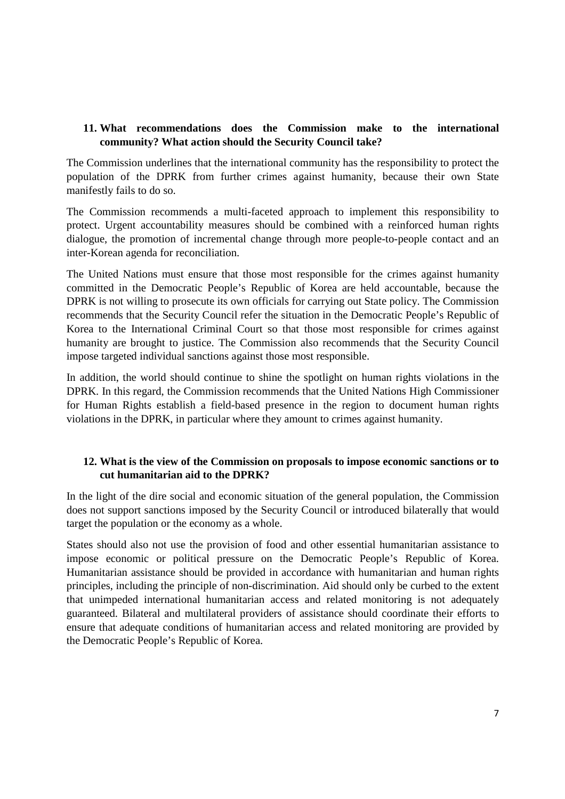## **11. What recommendations does the Commission make to the international community? What action should the Security Council take?**

The Commission underlines that the international community has the responsibility to protect the population of the DPRK from further crimes against humanity, because their own State manifestly fails to do so.

The Commission recommends a multi-faceted approach to implement this responsibility to protect. Urgent accountability measures should be combined with a reinforced human rights dialogue, the promotion of incremental change through more people-to-people contact and an inter-Korean agenda for reconciliation.

The United Nations must ensure that those most responsible for the crimes against humanity committed in the Democratic People's Republic of Korea are held accountable, because the DPRK is not willing to prosecute its own officials for carrying out State policy. The Commission recommends that the Security Council refer the situation in the Democratic People's Republic of Korea to the International Criminal Court so that those most responsible for crimes against humanity are brought to justice. The Commission also recommends that the Security Council impose targeted individual sanctions against those most responsible.

In addition, the world should continue to shine the spotlight on human rights violations in the DPRK. In this regard, the Commission recommends that the United Nations High Commissioner for Human Rights establish a field-based presence in the region to document human rights violations in the DPRK, in particular where they amount to crimes against humanity.

## **12. What is the view of the Commission on proposals to impose economic sanctions or to cut humanitarian aid to the DPRK?**

In the light of the dire social and economic situation of the general population, the Commission does not support sanctions imposed by the Security Council or introduced bilaterally that would target the population or the economy as a whole.

States should also not use the provision of food and other essential humanitarian assistance to impose economic or political pressure on the Democratic People's Republic of Korea. Humanitarian assistance should be provided in accordance with humanitarian and human rights principles, including the principle of non-discrimination. Aid should only be curbed to the extent that unimpeded international humanitarian access and related monitoring is not adequately guaranteed. Bilateral and multilateral providers of assistance should coordinate their efforts to ensure that adequate conditions of humanitarian access and related monitoring are provided by the Democratic People's Republic of Korea.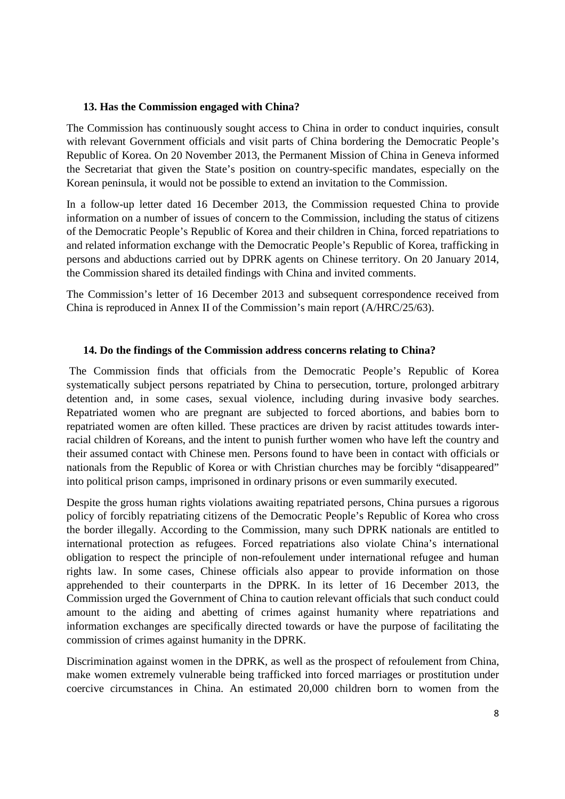#### **13. Has the Commission engaged with China?**

The Commission has continuously sought access to China in order to conduct inquiries, consult with relevant Government officials and visit parts of China bordering the Democratic People's Republic of Korea. On 20 November 2013, the Permanent Mission of China in Geneva informed the Secretariat that given the State's position on country-specific mandates, especially on the Korean peninsula, it would not be possible to extend an invitation to the Commission.

In a follow-up letter dated 16 December 2013, the Commission requested China to provide information on a number of issues of concern to the Commission, including the status of citizens of the Democratic People's Republic of Korea and their children in China, forced repatriations to and related information exchange with the Democratic People's Republic of Korea, trafficking in persons and abductions carried out by DPRK agents on Chinese territory. On 20 January 2014, the Commission shared its detailed findings with China and invited comments.

The Commission's letter of 16 December 2013 and subsequent correspondence received from China is reproduced in Annex II of the Commission's main report (A/HRC/25/63).

## **14. Do the findings of the Commission address concerns relating to China?**

 The Commission finds that officials from the Democratic People's Republic of Korea systematically subject persons repatriated by China to persecution, torture, prolonged arbitrary detention and, in some cases, sexual violence, including during invasive body searches. Repatriated women who are pregnant are subjected to forced abortions, and babies born to repatriated women are often killed. These practices are driven by racist attitudes towards interracial children of Koreans, and the intent to punish further women who have left the country and their assumed contact with Chinese men. Persons found to have been in contact with officials or nationals from the Republic of Korea or with Christian churches may be forcibly "disappeared" into political prison camps, imprisoned in ordinary prisons or even summarily executed.

Despite the gross human rights violations awaiting repatriated persons, China pursues a rigorous policy of forcibly repatriating citizens of the Democratic People's Republic of Korea who cross the border illegally. According to the Commission, many such DPRK nationals are entitled to international protection as refugees. Forced repatriations also violate China's international obligation to respect the principle of non-refoulement under international refugee and human rights law. In some cases, Chinese officials also appear to provide information on those apprehended to their counterparts in the DPRK. In its letter of 16 December 2013, the Commission urged the Government of China to caution relevant officials that such conduct could amount to the aiding and abetting of crimes against humanity where repatriations and information exchanges are specifically directed towards or have the purpose of facilitating the commission of crimes against humanity in the DPRK.

Discrimination against women in the DPRK, as well as the prospect of refoulement from China, make women extremely vulnerable being trafficked into forced marriages or prostitution under coercive circumstances in China. An estimated 20,000 children born to women from the